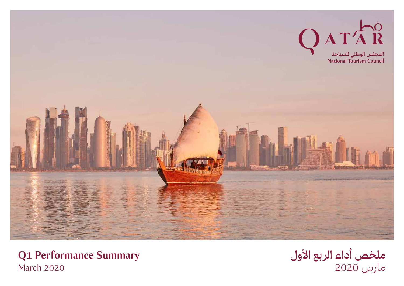

**Q1 Performance Summary** March 2020

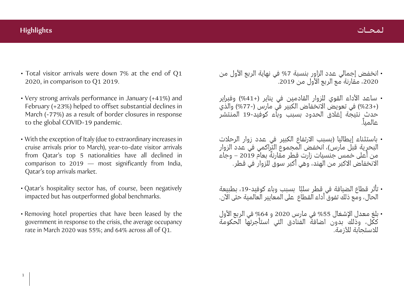# **لـمـحـــات Highlights**

- Total visitor arrivals were down 7% at the end of Q1 2020, in comparison to Q1 2019.
- Very strong arrivals performance in January (+41%) and February (+23%) helped to offset substantial declines in March (-77%) as a result of border closures in response to the global COVID-19 pandemic.
- With the exception of Italy (due to extraordinary increases in cruise arrivals prior to March), year-to-date visitor arrivals from Qatar's top 5 nationalities have all declined in comparison to 2019 — most significantly from India, Qatar's top arrivals market.
- Qatar's hospitality sector has, of course, been negatively impacted but has outperformed global benchmarks.
- Removing hotel properties that have been leased by the government in response to the crisis, the average occupancy rate in March 2020 was 55%; and 64% across all of Q1.
- انخفض إجمالي عدد الزاور بنسبة %7 في نهاية الربع الأول من ،2020 مقارنة مع الربع الأول من .2019
- ساعد الأداء القوي للزوار القادمين في يناير (%41+) وفبراير (%23+) في تعويض الانخفاض الكبير في مارس (%77-) والذي حدث نتيجة إغلاق الحدود بسبب وباء كوفيد19- المنتشر عالمياً.
- باستثناء إيطاليا (بسبب الارتفاع الكبير في عدد زوار الرحلات البحرية قبل مارس)، انخفض المجموع التراكمي في عدد الزوار ً من أعلى خمس جنسيات زارت قطر مقارنة بعام 2019 – وجاء الانخفاض الاكبر من الهند، وهي أكبر سوق للزوار في قطر.
- ً تأثر قطاع الضيافة في قطر سلبا بسبب وباء كوفيد،19- بطبيعة الحال، ومع ذلك تفوق أداء القطاع على المعايير العالمية حتى الآن.
- بلغ معدل الإشغال %55 في مارس 2020 و %64 في الربع الأول ككل، وذلك بدون اضافة الفنادق التي استأجرتها الحكومة للاستجابة للأزمة.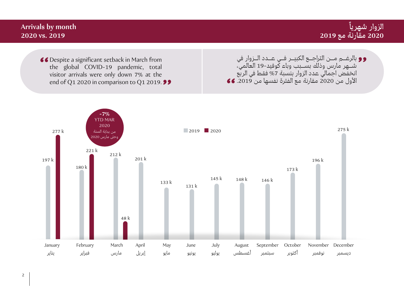#### **Arrivals by month 2020 vs. 2019 ً الزوار شهريا 2020 مقارنة مع 2019** 66 Despite a significant setback in March from the global COVID-19 pandemic, total visitor arrivals were only down 7% at the end of Q1 2020 in comparison to Q1 2019.  $\bullet$ بالرغـــم مـــن التراجـــع الكبيـــر فـــي عـــدد الـــزوار في .<br>شــهر مارس وذلك بســبب وباء كوفيد-19 العالمي، انخفض اجمالي عدد الزوار بنسبة %7 فقط في الربع الأول من 2020 مقارنة مع الفترة نفسها من .2019

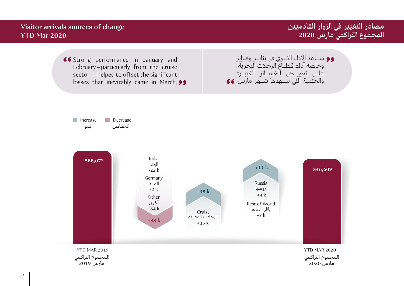**مصادر التغيير في الزوار القادميين المجموع التراكمي مارس 2020**

ســـاعد الأداء القـــوي في ينايـــر وفبراير وخاصة أداء قطـــاع الرحلات البحرية، علـــى تعويـــض الخســـائر الكبيـــرة والحتمية التي شـــهدها شـــهر مارس.

## **Visitor arrivals sources of change YTD Mar 2020**

66 Strong performance in January and February–particularly from the cruise sector—helped to offset the significant losses that inevitably came in March. **99** 

Increase Decrease انخفاض نمو

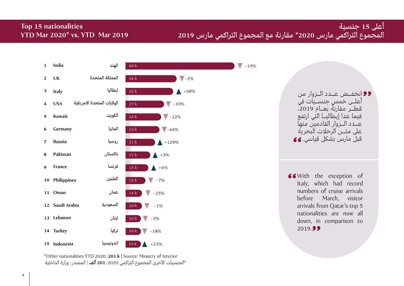# **أعلى 15 جنسية المجموع التراكمي مارس 2020\* مقارنة مع المجموع التراكمي مارس 2019**

## **Top 15 nationalities YTD Mar 2020\* vs. YTD Mar 2019**



\*Other nationalities YTD 2020: **201 k |** Source: Ministry of Interior \*الجنسيات الأخرى المجموع التراكمي :2020 **201 ألف** | المصدر: وزارة الداخلية

انخفـــض عـــدد الـــزوار من أعلـــى خمس جنســـيات في قطــر مقارنةً بعــام 2019، فيما عدا إيطاليـــا التي ارتفع عـــدد الـــزوار القادمين منها على متـــن الرحلات البحرية قبل مارس بشكل قياسي.

With the exception of Italy, which had record numbers of cruise arrivals before March, visitor arrivals from Qatar's top 5 nationalities are now all down, in comparison to 2019.99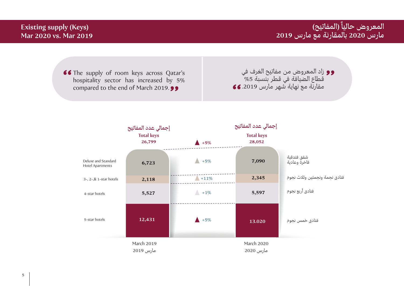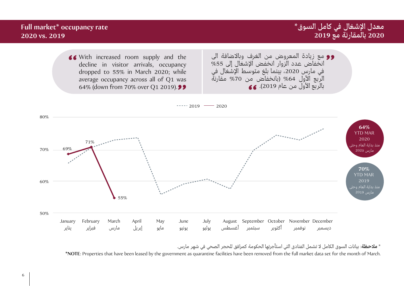

\* **ملاحظة**: بيانات السوق الكامل لا تشمل الفنادق التي استأجرتها الحكومة كمرافق للحجر الصحي في شهر مارس.

**\*NOTE**: Properties that have been leased by the government as quarantine facilities have been removed from the full market data set for the month of March.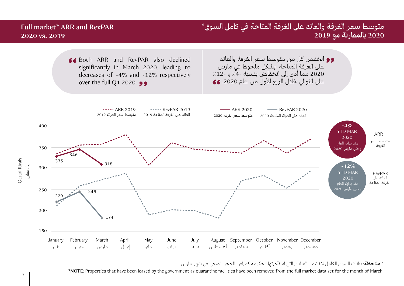

\* **ملاحظة**: بيانات السوق الكامل لا تشمل الفنادق التي استأجرتها الحكومة كمرافق للحجر الصحي في شهر مارس.

**\*NOTE**: Properties that have been leased by the government as quarantine facilities have been removed from the full market data set for the month of March.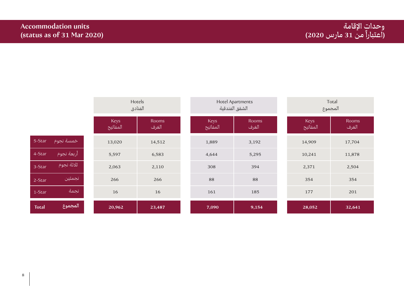|              |             |                  | Hotels<br>الفنادق     | <b>Hotel Apartments</b><br>الشقق الفندقية |                       | Total<br>المجموع        |                       |
|--------------|-------------|------------------|-----------------------|-------------------------------------------|-----------------------|-------------------------|-----------------------|
|              |             | Keys<br>المفاتيح | <b>Rooms</b><br>الغرف | Keys<br>المفاتيح                          | <b>Rooms</b><br>الغرف | <b>Keys</b><br>المفاتيح | <b>Rooms</b><br>الغرف |
| 5-Star       | خمسة نجوم   | 13,020           | 14,512                | 1,889                                     | 3,192                 | 14,909                  | 17,704                |
| 4-Star       | أربعة نجوم  | 5,597            | 6,583                 | 4,644                                     | 5,295                 | 10,241                  | 11,878                |
| 3-Star       | أثلاثة نجوم | 2,063            | 2,110                 | 308                                       | 394                   | 2,371                   | 2,504                 |
| 2-Star       | نجمتين      | 266              | 266                   | 88                                        | 88                    | 354                     | 354                   |
| 1-Star       | نجمة        | 16               | 16                    | 161                                       | 185                   | 177                     | 201                   |
| <b>Total</b> | ا المجموع   | 20,962           | 23,487                | 7,090                                     | 9,154                 | 28,052                  | 32,641                |